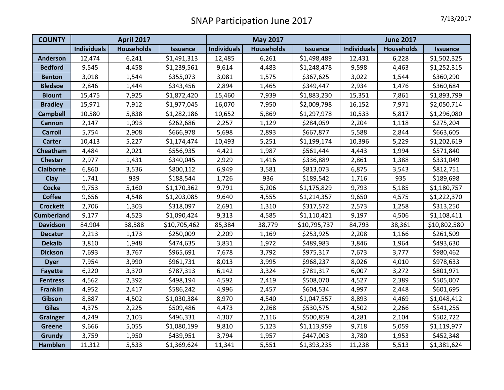| <b>COUNTY</b>     | <b>April 2017</b>  |                   |                 | <b>May 2017</b>    |                   |                 | <b>June 2017</b>   |                   |                 |
|-------------------|--------------------|-------------------|-----------------|--------------------|-------------------|-----------------|--------------------|-------------------|-----------------|
|                   | <b>Individuals</b> | <b>Households</b> | <b>Issuance</b> | <b>Individuals</b> | <b>Households</b> | <b>Issuance</b> | <b>Individuals</b> | <b>Households</b> | <b>Issuance</b> |
| <b>Anderson</b>   | 12,474             | 6,241             | \$1,491,313     | 12,485             | 6,261             | \$1,498,489     | 12,431             | 6,228             | \$1,502,325     |
| <b>Bedford</b>    | 9,545              | 4,458             | \$1,239,561     | 9,614              | 4,483             | \$1,248,478     | 9,598              | 4,463             | \$1,252,315     |
| <b>Benton</b>     | 3,018              | 1,544             | \$355,073       | 3,081              | 1,575             | \$367,625       | 3,022              | 1,544             | \$360,290       |
| <b>Bledsoe</b>    | 2,846              | 1,444             | \$343,456       | 2,894              | 1,465             | \$349,447       | 2,934              | 1,476             | \$360,684       |
| <b>Blount</b>     | 15,475             | 7,925             | \$1,872,420     | 15,460             | 7,939             | \$1,883,230     | 15,351             | 7,861             | \$1,893,799     |
| <b>Bradley</b>    | 15,971             | 7,912             | \$1,977,045     | 16,070             | 7,950             | \$2,009,798     | 16,152             | 7,971             | \$2,050,714     |
| <b>Campbell</b>   | 10,580             | 5,838             | \$1,282,186     | 10,652             | 5,869             | \$1,297,978     | 10,533             | 5,817             | \$1,296,080     |
| <b>Cannon</b>     | 2,147              | 1,093             | \$262,686       | 2,257              | 1,129             | \$284,059       | 2,204              | 1,118             | \$275,204       |
| <b>Carroll</b>    | 5,754              | 2,908             | \$666,978       | 5,698              | 2,893             | \$667,877       | 5,588              | 2,844             | \$663,605       |
| <b>Carter</b>     | 10,413             | 5,227             | \$1,174,474     | 10,493             | 5,251             | \$1,199,174     | 10,396             | 5,229             | \$1,202,619     |
| Cheatham          | 4,484              | 2,021             | \$556,935       | 4,421              | 1,987             | \$561,444       | 4,443              | 1,994             | \$571,840       |
| <b>Chester</b>    | 2,977              | 1,431             | \$340,045       | 2,929              | 1,416             | \$336,889       | 2,861              | 1,388             | \$331,049       |
| <b>Claiborne</b>  | 6,860              | 3,536             | \$800,112       | 6,949              | 3,581             | \$813,073       | 6,875              | 3,543             | \$812,751       |
| Clay              | 1,741              | 939               | \$188,544       | 1,726              | 936               | \$189,542       | 1,716              | 935               | \$189,698       |
| <b>Cocke</b>      | 9,753              | 5,160             | \$1,170,362     | 9,791              | 5,206             | \$1,175,829     | 9,793              | 5,185             | \$1,180,757     |
| <b>Coffee</b>     | 9,656              | 4,548             | \$1,203,085     | 9,640              | 4,555             | \$1,214,357     | 9,650              | 4,575             | \$1,222,370     |
| <b>Crockett</b>   | 2,706              | 1,303             | \$318,097       | 2,691              | 1,310             | \$317,572       | 2,573              | 1,258             | \$313,250       |
| <b>Cumberland</b> | 9,177              | 4,523             | \$1,090,424     | 9,313              | 4,585             | \$1,110,421     | 9,197              | 4,506             | \$1,108,411     |
| <b>Davidson</b>   | 84,904             | 38,588            | \$10,705,462    | 85,384             | 38,779            | \$10,795,737    | 84,793             | 38,361            | \$10,802,580    |
| <b>Decatur</b>    | 2,213              | 1,173             | \$250,009       | 2,209              | 1,169             | \$253,925       | 2,208              | 1,166             | \$261,509       |
| <b>Dekalb</b>     | 3,810              | 1,948             | \$474,635       | 3,831              | 1,972             | \$489,983       | 3,846              | 1,964             | \$493,630       |
| <b>Dickson</b>    | 7,693              | 3,767             | \$965,691       | 7,678              | 3,792             | \$975,317       | 7,673              | 3,777             | \$980,462       |
| <b>Dyer</b>       | 7,954              | 3,990             | \$961,731       | 8,013              | 3,995             | \$968,237       | 8,026              | 4,010             | \$978,633       |
| <b>Fayette</b>    | 6,220              | 3,370             | \$787,313       | 6,142              | 3,324             | \$781,317       | 6,007              | 3,272             | \$801,971       |
| <b>Fentress</b>   | 4,562              | 2,392             | \$498,194       | 4,592              | 2,419             | \$508,070       | 4,527              | 2,389             | \$505,007       |
| <b>Franklin</b>   | 4,952              | 2,417             | \$586,242       | 4,996              | 2,457             | \$604,534       | 4,997              | 2,448             | \$601,695       |
| Gibson            | 8,887              | 4,502             | \$1,030,384     | 8,970              | 4,540             | \$1,047,557     | 8,893              | 4,469             | \$1,048,412     |
| <b>Giles</b>      | 4,375              | 2,225             | \$509,486       | 4,473              | 2,268             | \$530,575       | 4,502              | 2,266             | \$541,255       |
| <b>Grainger</b>   | 4,249              | 2,103             | \$496,331       | 4,307              | 2,116             | \$500,859       | 4,281              | 2,104             | \$502,722       |
| Greene            | 9,666              | 5,055             | \$1,080,199     | 9,810              | 5,123             | \$1,113,959     | 9,718              | 5,059             | \$1,119,977     |
| Grundy            | 3,759              | 1,950             | \$439,951       | 3,794              | 1,957             | \$447,003       | 3,780              | 1,953             | \$452,348       |
| <b>Hamblen</b>    | 11,312             | 5,533             | \$1,369,624     | 11,341             | 5,551             | \$1,393,235     | 11,238             | 5,513             | \$1,381,624     |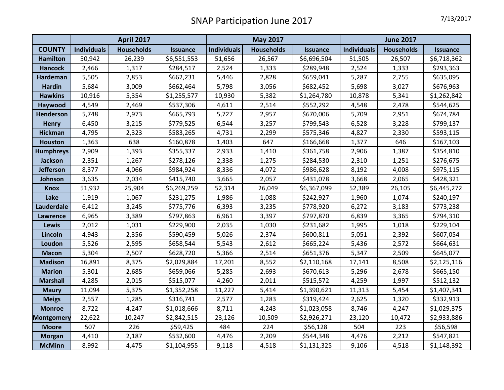|                   | <b>April 2017</b>  |                   |                 | <b>May 2017</b>    |                   |                 | <b>June 2017</b>   |                   |                 |
|-------------------|--------------------|-------------------|-----------------|--------------------|-------------------|-----------------|--------------------|-------------------|-----------------|
| <b>COUNTY</b>     | <b>Individuals</b> | <b>Households</b> | <b>Issuance</b> | <b>Individuals</b> | <b>Households</b> | <b>Issuance</b> | <b>Individuals</b> | <b>Households</b> | <b>Issuance</b> |
| <b>Hamilton</b>   | 50,942             | 26,239            | \$6,551,553     | 51,656             | 26,567            | \$6,696,504     | 51,505             | 26,507            | \$6,718,362     |
| <b>Hancock</b>    | 2,466              | 1,317             | \$284,517       | 2,524              | 1,333             | \$289,948       | 2,524              | 1,333             | \$293,363       |
| Hardeman          | 5,505              | 2,853             | \$662,231       | 5,446              | 2,828             | \$659,041       | 5,287              | 2,755             | \$635,095       |
| <b>Hardin</b>     | 5,684              | 3,009             | \$662,464       | 5,798              | 3,056             | \$682,452       | 5,698              | 3,027             | \$676,963       |
| <b>Hawkins</b>    | 10,916             | 5,354             | \$1,255,577     | 10,930             | 5,382             | \$1,264,780     | 10,878             | 5,341             | \$1,262,842     |
| Haywood           | 4,549              | 2,469             | \$537,306       | 4,611              | 2,514             | \$552,292       | 4,548              | 2,478             | \$544,625       |
| Henderson         | 5,748              | 2,973             | \$665,793       | 5,727              | 2,957             | \$670,006       | 5,709              | 2,951             | \$674,784       |
| <b>Henry</b>      | 6,450              | 3,215             | \$779,525       | 6,544              | 3,257             | \$799,543       | 6,528              | 3,228             | \$799,137       |
| <b>Hickman</b>    | 4,795              | 2,323             | \$583,265       | 4,731              | 2,299             | \$575,346       | 4,827              | 2,330             | \$593,115       |
| <b>Houston</b>    | 1,363              | 638               | \$160,878       | 1,403              | 647               | \$166,668       | 1,377              | 646               | \$167,103       |
| <b>Humphreys</b>  | 2,909              | 1,393             | \$355,337       | 2,933              | 1,410             | \$361,758       | 2,906              | 1,387             | \$354,810       |
| <b>Jackson</b>    | 2,351              | 1,267             | \$278,126       | 2,338              | 1,275             | \$284,530       | 2,310              | 1,251             | \$276,675       |
| <b>Jefferson</b>  | 8,377              | 4,066             | \$984,924       | 8,336              | 4,072             | \$986,628       | 8,192              | 4,008             | \$975,115       |
| Johnson           | 3,635              | 2,034             | \$415,740       | 3,665              | 2,057             | \$431,078       | 3,668              | 2,065             | \$428,321       |
| <b>Knox</b>       | 51,932             | 25,904            | \$6,269,259     | 52,314             | 26,049            | \$6,367,099     | 52,389             | 26,105            | \$6,445,272     |
| Lake              | 1,919              | 1,067             | \$231,275       | 1,986              | 1,088             | \$242,927       | 1,960              | 1,074             | \$240,197       |
| Lauderdale        | 6,412              | 3,245             | \$775,776       | 6,393              | 3,235             | \$778,920       | 6,272              | 3,183             | \$773,238       |
| <b>Lawrence</b>   | 6,965              | 3,389             | \$797,863       | 6,961              | 3,397             | \$797,870       | 6,839              | 3,365             | \$794,310       |
| <b>Lewis</b>      | 2,012              | 1,031             | \$229,900       | 2,035              | 1,030             | \$231,682       | 1,995              | 1,018             | \$229,104       |
| Lincoln           | 4,943              | 2,356             | \$590,459       | 5,026              | 2,374             | \$600,811       | 5,051              | 2,392             | \$607,054       |
| Loudon            | 5,526              | 2,595             | \$658,544       | 5,543              | 2,612             | \$665,224       | 5,436              | 2,572             | \$664,631       |
| <b>Macon</b>      | 5,304              | 2,507             | \$628,720       | 5,366              | 2,514             | \$651,376       | 5,347              | 2,509             | \$645,077       |
| <b>Madison</b>    | 16,891             | 8,375             | \$2,029,884     | 17,201             | 8,552             | \$2,110,168     | 17,141             | 8,508             | \$2,125,116     |
| <b>Marion</b>     | 5,301              | 2,685             | \$659,066       | 5,285              | 2,693             | \$670,613       | 5,296              | 2,678             | \$665,150       |
| <b>Marshall</b>   | 4,285              | 2,015             | \$515,077       | 4,260              | 2,011             | \$515,572       | 4,259              | 1,997             | \$512,132       |
| <b>Maury</b>      | 11,094             | 5,375             | \$1,352,258     | 11,227             | 5,414             | \$1,390,621     | 11,313             | 5,454             | \$1,407,341     |
| <b>Meigs</b>      | 2,557              | 1,285             | \$316,741       | 2,577              | 1,283             | \$319,424       | 2,625              | 1,320             | \$332,913       |
| <b>Monroe</b>     | 8,722              | 4,247             | \$1,018,666     | 8,711              | 4,243             | \$1,023,058     | 8,746              | 4,247             | \$1,029,375     |
| <b>Montgomery</b> | 22,622             | 10,247            | \$2,842,515     | 23,126             | 10,509            | \$2,926,271     | 23,120             | 10,472            | \$2,933,886     |
| <b>Moore</b>      | 507                | 226               | \$59,425        | 484                | 224               | \$56,128        | 504                | 223               | \$56,598        |
| <b>Morgan</b>     | 4,410              | 2,187             | \$532,600       | 4,476              | 2,209             | \$544,348       | 4,476              | 2,212             | \$547,821       |
| <b>McMinn</b>     | 8,992              | 4,475             | \$1,104,955     | 9,118              | 4,518             | \$1,131,325     | 9,106              | 4,518             | \$1,148,392     |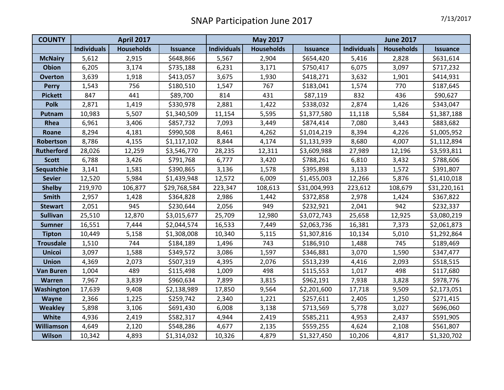| <b>COUNTY</b>     | <b>April 2017</b>  |                   |                 | <b>May 2017</b>    |                   |                 | <b>June 2017</b>   |                   |                 |
|-------------------|--------------------|-------------------|-----------------|--------------------|-------------------|-----------------|--------------------|-------------------|-----------------|
|                   | <b>Individuals</b> | <b>Households</b> | <b>Issuance</b> | <b>Individuals</b> | <b>Households</b> | <b>Issuance</b> | <b>Individuals</b> | <b>Households</b> | <b>Issuance</b> |
| <b>McNairy</b>    | 5,612              | 2,915             | \$648,866       | 5,567              | 2,904             | \$654,420       | 5,416              | 2,828             | \$631,614       |
| <b>Obion</b>      | 6,205              | 3,174             | \$735,188       | 6,231              | 3,171             | \$750,417       | 6,075              | 3,097             | \$717,232       |
| <b>Overton</b>    | 3,639              | 1,918             | \$413,057       | 3,675              | 1,930             | \$418,271       | 3,632              | 1,901             | \$414,931       |
| <b>Perry</b>      | 1,543              | 756               | \$180,510       | 1,547              | 767               | \$183,041       | 1,574              | 770               | \$187,645       |
| <b>Pickett</b>    | 847                | 441               | \$89,700        | 814                | 431               | \$87,119        | 832                | 436               | \$90,627        |
| <b>Polk</b>       | 2,871              | 1,419             | \$330,978       | 2,881              | 1,422             | \$338,032       | 2,874              | 1,426             | \$343,047       |
| Putnam            | 10,983             | 5,507             | \$1,340,509     | 11,154             | 5,595             | \$1,377,580     | 11,118             | 5,584             | \$1,387,188     |
| Rhea              | 6,961              | 3,406             | \$857,732       | 7,093              | 3,449             | \$874,414       | 7,080              | 3,443             | \$883,682       |
| Roane             | 8,294              | 4,181             | \$990,508       | 8,461              | 4,262             | \$1,014,219     | 8,394              | 4,226             | \$1,005,952     |
| Robertson         | 8,786              | 4,155             | \$1,117,102     | 8,844              | 4,174             | \$1,131,939     | 8,680              | 4,007             | \$1,112,894     |
| <b>Rutherford</b> | 28,026             | 12,259            | \$3,546,770     | 28,235             | 12,311            | \$3,609,988     | 27,989             | 12,196            | \$3,593,811     |
| <b>Scott</b>      | 6,788              | 3,426             | \$791,768       | 6,777              | 3,420             | \$788,261       | 6,810              | 3,432             | \$788,606       |
| Sequatchie        | 3,141              | 1,581             | \$390,865       | 3,136              | 1,578             | \$395,898       | 3,133              | 1,572             | \$391,807       |
| <b>Sevier</b>     | 12,520             | 5,984             | \$1,439,948     | 12,572             | 6,009             | \$1,455,003     | 12,266             | 5,876             | \$1,410,018     |
| <b>Shelby</b>     | 219,970            | 106,877           | \$29,768,584    | 223,347            | 108,613           | \$31,004,993    | 223,612            | 108,679           | \$31,220,161    |
| Smith             | 2,957              | 1,428             | \$364,828       | 2,986              | 1,442             | \$372,858       | 2,978              | 1,424             | \$367,822       |
| <b>Stewart</b>    | 2,051              | 945               | \$230,644       | 2,056              | 949               | \$232,921       | 2,041              | 942               | \$232,337       |
| <b>Sullivan</b>   | 25,510             | 12,870            | \$3,015,677     | 25,709             | 12,980            | \$3,072,743     | 25,658             | 12,925            | \$3,080,219     |
| <b>Sumner</b>     | 16,551             | 7,444             | \$2,044,574     | 16,533             | 7,449             | \$2,063,736     | 16,381             | 7,373             | \$2,061,873     |
| <b>Tipton</b>     | 10,449             | 5,158             | \$1,308,008     | 10,340             | 5,115             | \$1,307,816     | 10,134             | 5,010             | \$1,292,864     |
| <b>Trousdale</b>  | 1,510              | 744               | \$184,189       | 1,496              | 743               | \$186,910       | 1,488              | 745               | \$189,469       |
| <b>Unicoi</b>     | 3,097              | 1,588             | \$349,572       | 3,086              | 1,597             | \$346,881       | 3,070              | 1,590             | \$347,477       |
| <b>Union</b>      | 4,369              | 2,073             | \$507,319       | 4,395              | 2,076             | \$513,239       | 4,416              | 2,093             | \$518,515       |
| <b>Van Buren</b>  | 1,004              | 489               | \$115,498       | 1,009              | 498               | \$115,553       | 1,017              | 498               | \$117,680       |
| <b>Warren</b>     | 7,967              | 3,839             | \$960,634       | 7,899              | 3,815             | \$962,191       | 7,938              | 3,828             | \$978,776       |
| Washington        | 17,639             | 9,408             | \$2,138,989     | 17,850             | 9,564             | \$2,201,600     | 17,718             | 9,509             | \$2,173,051     |
| Wayne             | 2,366              | 1,225             | \$259,742       | 2,340              | 1,221             | \$257,611       | 2,405              | 1,250             | \$271,415       |
| <b>Weakley</b>    | 5,898              | 3,106             | \$691,430       | 6,008              | 3,138             | \$713,569       | 5,778              | 3,027             | \$696,060       |
| White             | 4,936              | 2,419             | \$582,317       | 4,944              | 2,419             | \$585,211       | 4,953              | 2,437             | \$591,905       |
| Williamson        | 4,649              | 2,120             | \$548,286       | 4,677              | 2,135             | \$559,255       | 4,624              | 2,108             | \$561,807       |
| <b>Wilson</b>     | 10,342             | 4,893             | \$1,314,032     | 10,326             | 4,879             | \$1,327,450     | 10,206             | 4,817             | \$1,320,702     |